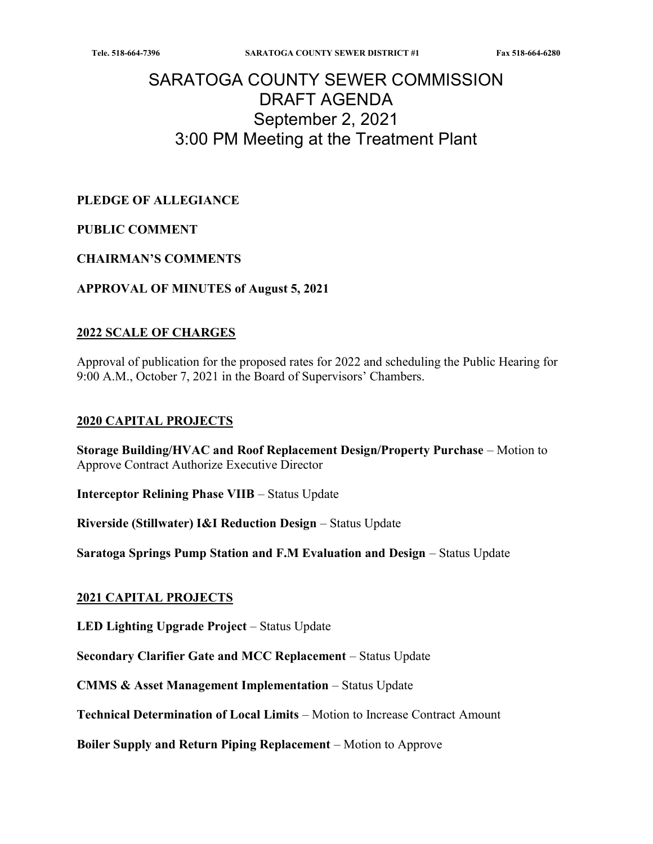# SARATOGA COUNTY SEWER COMMISSION DRAFT AGENDA September 2, 2021 3:00 PM Meeting at the Treatment Plant

PLEDGE OF ALLEGIANCE

### PUBLIC COMMENT

#### CHAIRMAN'S COMMENTS

APPROVAL OF MINUTES of August 5, 2021

#### 2022 SCALE OF CHARGES

Approval of publication for the proposed rates for 2022 and scheduling the Public Hearing for 9:00 A.M., October 7, 2021 in the Board of Supervisors' Chambers.

#### 2020 CAPITAL PROJECTS

Storage Building/HVAC and Roof Replacement Design/Property Purchase – Motion to Approve Contract Authorize Executive Director

Interceptor Relining Phase VIIB – Status Update

Riverside (Stillwater) I&I Reduction Design – Status Update

Saratoga Springs Pump Station and F.M Evaluation and Design – Status Update

#### 2021 CAPITAL PROJECTS

LED Lighting Upgrade Project – Status Update

Secondary Clarifier Gate and MCC Replacement – Status Update

CMMS & Asset Management Implementation – Status Update

Technical Determination of Local Limits – Motion to Increase Contract Amount

Boiler Supply and Return Piping Replacement – Motion to Approve